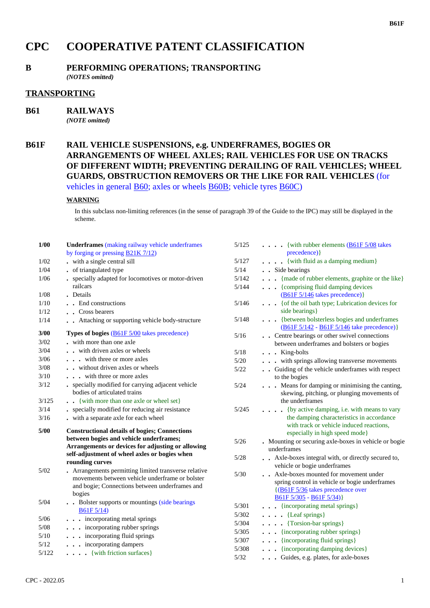# **CPC COOPERATIVE PATENT CLASSIFICATION**

## **B PERFORMING OPERATIONS; TRANSPORTING**

*(NOTES omitted)*

### **TRANSPORTING**

**B61 RAILWAYS**

*(NOTE omitted)*

## **B61F RAIL VEHICLE SUSPENSIONS, e.g. UNDERFRAMES, BOGIES OR ARRANGEMENTS OF WHEEL AXLES; RAIL VEHICLES FOR USE ON TRACKS OF DIFFERENT WIDTH; PREVENTING DERAILING OF RAIL VEHICLES; WHEEL GUARDS, OBSTRUCTION REMOVERS OR THE LIKE FOR RAIL VEHICLES** (for vehicles in general B60; axles or wheels B60B; vehicle tyres B60C)

#### **WARNING**

In this subclass non-limiting references (in the sense of paragraph 39 of the Guide to the IPC) may still be displayed in the scheme.

| 1/00   | <b>Underframes</b> (making railway vehicle underframes<br>by forging or pressing $B21K7/12$                                                                          | 5/125  | $\ldots$ (with rubber elements (B61F 5/08 takes<br>precedence) }                                                                                            |
|--------|----------------------------------------------------------------------------------------------------------------------------------------------------------------------|--------|-------------------------------------------------------------------------------------------------------------------------------------------------------------|
| 1/02   | - with a single central sill                                                                                                                                         | 5/127  | . { with fluid as a damping medium}                                                                                                                         |
| 1/04   | • of triangulated type                                                                                                                                               | 5/14   | . Side bearings                                                                                                                                             |
| 1/06   | • specially adapted for locomotives or motor-driven                                                                                                                  | 5/142  | {made of rubber elements, graphite or the like}                                                                                                             |
|        | railcars                                                                                                                                                             | 5/144  | . {comprising fluid damping devices                                                                                                                         |
| 1/08   | . Details                                                                                                                                                            | 5/146  | $(B61F 5/146$ takes precedence)}                                                                                                                            |
| 1/10   | . . End constructions                                                                                                                                                |        | { of the oil bath type; Lubrication devices for<br>side bearings}                                                                                           |
| 1/12   | . Cross bearers                                                                                                                                                      | 5/148  | {between bolsterless bogies and underframes                                                                                                                 |
| 1/14   | . Attaching or supporting vehicle body-structure                                                                                                                     |        | (B61F 5/142 - B61F 5/146 take precedence)}                                                                                                                  |
| 3/00   | <b>Types of bogies</b> ( <b>B61F</b> 5/00 takes precedence)                                                                                                          | 5/16   | . . Centre bearings or other swivel connections                                                                                                             |
| $3/02$ | with more than one axle                                                                                                                                              |        | between underframes and bolsters or bogies                                                                                                                  |
| 3/04   | with driven axles or wheels                                                                                                                                          | 5/18   | $\ldots$ King-bolts                                                                                                                                         |
| 3/06   | . with three or more axles                                                                                                                                           | $5/20$ | . with springs allowing transverse movements                                                                                                                |
| $3/08$ | . . without driven axles or wheels                                                                                                                                   | 5/22   | Guiding of the vehicle underframes with respect                                                                                                             |
| 3/10   | . with three or more axles                                                                                                                                           |        | to the bogies                                                                                                                                               |
| 3/12   | • specially modified for carrying adjacent vehicle<br>bodies of articulated trains                                                                                   | 5/24   | Means for damping or minimising the canting,<br>skewing, pitching, or plunging movements of                                                                 |
| 3/125  | {with more than one axle or wheel set}                                                                                                                               |        | the underframes                                                                                                                                             |
| 3/14   | . specially modified for reducing air resistance                                                                                                                     | 5/245  | . {by active damping, i.e. with means to vary                                                                                                               |
| 3/16   | . with a separate axle for each wheel                                                                                                                                |        | the damping characteristics in accordance<br>with track or vehicle induced reactions,                                                                       |
| 5/00   | <b>Constructional details of bogies; Connections</b>                                                                                                                 |        | especially in high speed mode}                                                                                                                              |
|        | between bogies and vehicle underframes;                                                                                                                              | 5/26   | . Mounting or securing axle-boxes in vehicle or bogie                                                                                                       |
|        | Arrangements or devices for adjusting or allowing                                                                                                                    |        | underframes                                                                                                                                                 |
|        | self-adjustment of wheel axles or bogies when<br>rounding curves                                                                                                     | 5/28   | . Axle-boxes integral with, or directly secured to,<br>vehicle or bogie underframes                                                                         |
| 5/02   | • Arrangements permitting limited transverse relative<br>movements between vehicle underframe or bolster<br>and bogie; Connections between underframes and<br>bogies | $5/30$ | . Axle-boxes mounted for movement under<br>spring control in vehicle or bogie underframes<br>{(B61F 5/36 takes precedence over<br>$B61F 5/305 - B61F 5/34)$ |
| 5/04   | . . Bolster supports or mountings (side bearings<br>$B61F\,5/14$                                                                                                     | 5/301  | {incorporating metal springs}                                                                                                                               |
| $5/06$ | incorporating metal springs                                                                                                                                          | 5/302  | $\ldots$ [Leaf springs]                                                                                                                                     |
| $5/08$ | incorporating rubber springs                                                                                                                                         | 5/304  | $\cdots$ (Torsion-bar springs)                                                                                                                              |
| $5/10$ | . incorporating fluid springs                                                                                                                                        | 5/305  | {incorporating rubber springs}                                                                                                                              |
| 5/12   | . incorporating dampers                                                                                                                                              | 5/307  | {incorporating fluid springs}                                                                                                                               |
| 5/122  | { with friction surfaces }                                                                                                                                           | 5/308  | . {incorporating damping devices}                                                                                                                           |
|        |                                                                                                                                                                      | 5/32   | . Guides, e.g. plates, for axle-boxes                                                                                                                       |